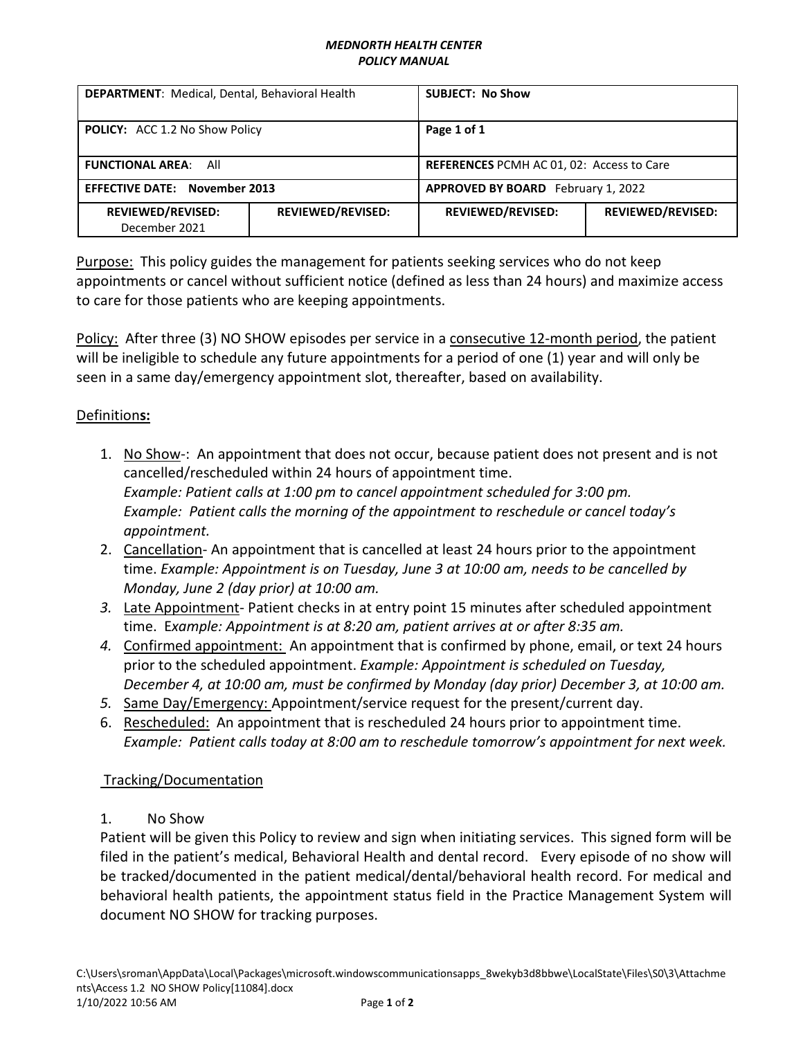#### *MEDNORTH HEALTH CENTER POLICY MANUAL*

| <b>DEPARTMENT:</b> Medical, Dental, Behavioral Health |                   | <b>SUBJECT: No Show</b>                          |                   |  |
|-------------------------------------------------------|-------------------|--------------------------------------------------|-------------------|--|
| <b>POLICY:</b> ACC 1.2 No Show Policy                 |                   | Page 1 of 1                                      |                   |  |
| <b>FUNCTIONAL AREA: All</b>                           |                   | <b>REFERENCES</b> PCMH AC 01, 02: Access to Care |                   |  |
| <b>EFFECTIVE DATE: November 2013</b>                  |                   | APPROVED BY BOARD February 1, 2022               |                   |  |
| REVIEWED/REVISED:<br>December 2021                    | REVIEWED/REVISED: | REVIEWED/REVISED:                                | REVIEWED/REVISED: |  |

Purpose: This policy guides the management for patients seeking services who do not keep appointments or cancel without sufficient notice (defined as less than 24 hours) and maximize access to care for those patients who are keeping appointments.

Policy: After three (3) NO SHOW episodes per service in a consecutive 12-month period, the patient will be ineligible to schedule any future appointments for a period of one (1) year and will only be seen in a same day/emergency appointment slot, thereafter, based on availability.

# Definition**s:**

- 1. No Show-: An appointment that does not occur, because patient does not present and is not cancelled/rescheduled within 24 hours of appointment time. *Example: Patient calls at 1:00 pm to cancel appointment scheduled for 3:00 pm. Example: Patient calls the morning of the appointment to reschedule or cancel today's appointment.*
- 2. Cancellation- An appointment that is cancelled at least 24 hours prior to the appointment time. *Example: Appointment is on Tuesday, June 3 at 10:00 am, needs to be cancelled by Monday, June 2 (day prior) at 10:00 am.*
- *3.* Late Appointment- Patient checks in at entry point 15 minutes after scheduled appointment time. E*xample: Appointment is at 8:20 am, patient arrives at or after 8:35 am.*
- *4.* Confirmed appointment: An appointment that is confirmed by phone, email, or text 24 hours prior to the scheduled appointment. *Example: Appointment is scheduled on Tuesday, December 4, at 10:00 am, must be confirmed by Monday (day prior) December 3, at 10:00 am.*
- *5.* Same Day/Emergency: Appointment/service request for the present/current day.
- 6. Rescheduled:An appointment that is rescheduled 24 hours prior to appointment time. *Example: Patient calls today at 8:00 am to reschedule tomorrow's appointment for next week.*

# Tracking/Documentation

# 1. No Show

Patient will be given this Policy to review and sign when initiating services. This signed form will be filed in the patient's medical, Behavioral Health and dental record. Every episode of no show will be tracked/documented in the patient medical/dental/behavioral health record. For medical and behavioral health patients, the appointment status field in the Practice Management System will document NO SHOW for tracking purposes.